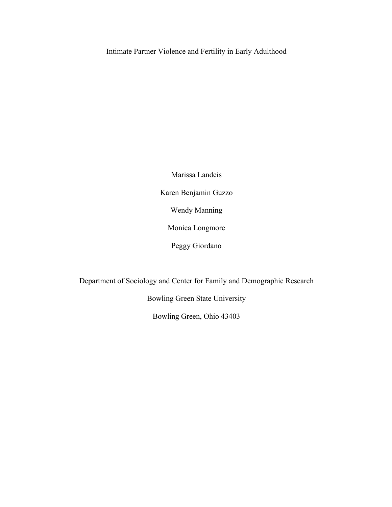Intimate Partner Violence and Fertility in Early Adulthood

Marissa Landeis Karen Benjamin Guzzo Wendy Manning Monica Longmore Peggy Giordano

Department of Sociology and Center for Family and Demographic Research

Bowling Green State University

Bowling Green, Ohio 43403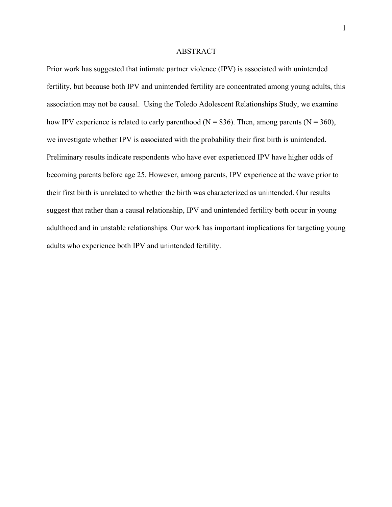#### ABSTRACT

Prior work has suggested that intimate partner violence (IPV) is associated with unintended fertility, but because both IPV and unintended fertility are concentrated among young adults, this association may not be causal. Using the Toledo Adolescent Relationships Study, we examine how IPV experience is related to early parenthood ( $N = 836$ ). Then, among parents ( $N = 360$ ), we investigate whether IPV is associated with the probability their first birth is unintended. Preliminary results indicate respondents who have ever experienced IPV have higher odds of becoming parents before age 25. However, among parents, IPV experience at the wave prior to their first birth is unrelated to whether the birth was characterized as unintended. Our results suggest that rather than a causal relationship, IPV and unintended fertility both occur in young adulthood and in unstable relationships. Our work has important implications for targeting young adults who experience both IPV and unintended fertility.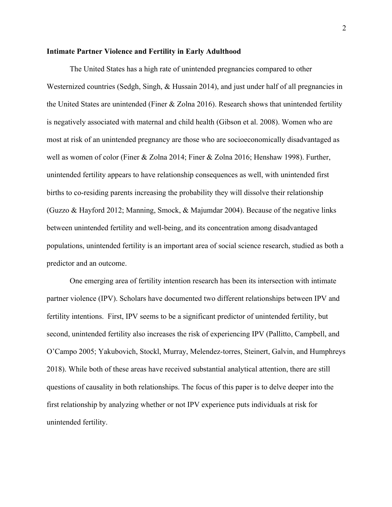### **Intimate Partner Violence and Fertility in Early Adulthood**

The United States has a high rate of unintended pregnancies compared to other Westernized countries (Sedgh, Singh, & Hussain 2014), and just under half of all pregnancies in the United States are unintended (Finer & Zolna 2016). Research shows that unintended fertility is negatively associated with maternal and child health (Gibson et al. 2008). Women who are most at risk of an unintended pregnancy are those who are socioeconomically disadvantaged as well as women of color (Finer & Zolna 2014; Finer & Zolna 2016; Henshaw 1998). Further, unintended fertility appears to have relationship consequences as well, with unintended first births to co-residing parents increasing the probability they will dissolve their relationship (Guzzo & Hayford 2012; Manning, Smock, & Majumdar 2004). Because of the negative links between unintended fertility and well-being, and its concentration among disadvantaged populations, unintended fertility is an important area of social science research, studied as both a predictor and an outcome.

One emerging area of fertility intention research has been its intersection with intimate partner violence (IPV). Scholars have documented two different relationships between IPV and fertility intentions. First, IPV seems to be a significant predictor of unintended fertility, but second, unintended fertility also increases the risk of experiencing IPV (Pallitto, Campbell, and O'Campo 2005; Yakubovich, Stockl, Murray, Melendez-torres, Steinert, Galvin, and Humphreys 2018). While both of these areas have received substantial analytical attention, there are still questions of causality in both relationships. The focus of this paper is to delve deeper into the first relationship by analyzing whether or not IPV experience puts individuals at risk for unintended fertility.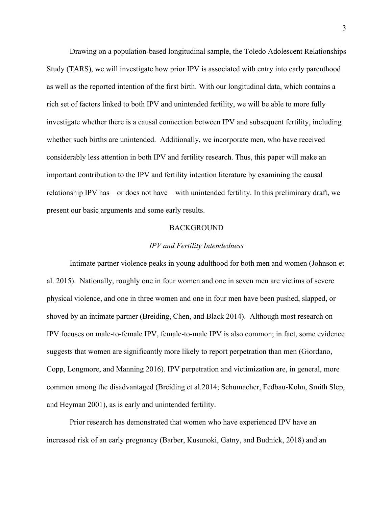Drawing on a population-based longitudinal sample, the Toledo Adolescent Relationships Study (TARS), we will investigate how prior IPV is associated with entry into early parenthood as well as the reported intention of the first birth. With our longitudinal data, which contains a rich set of factors linked to both IPV and unintended fertility, we will be able to more fully investigate whether there is a causal connection between IPV and subsequent fertility, including whether such births are unintended. Additionally, we incorporate men, who have received considerably less attention in both IPV and fertility research. Thus, this paper will make an important contribution to the IPV and fertility intention literature by examining the causal relationship IPV has—or does not have—with unintended fertility. In this preliminary draft, we present our basic arguments and some early results.

#### BACKGROUND

#### *IPV and Fertility Intendedness*

Intimate partner violence peaks in young adulthood for both men and women (Johnson et al. 2015). Nationally, roughly one in four women and one in seven men are victims of severe physical violence, and one in three women and one in four men have been pushed, slapped, or shoved by an intimate partner (Breiding, Chen, and Black 2014). Although most research on IPV focuses on male-to-female IPV, female-to-male IPV is also common; in fact, some evidence suggests that women are significantly more likely to report perpetration than men (Giordano, Copp, Longmore, and Manning 2016). IPV perpetration and victimization are, in general, more common among the disadvantaged (Breiding et al.2014; Schumacher, Fedbau-Kohn, Smith Slep, and Heyman 2001), as is early and unintended fertility.

Prior research has demonstrated that women who have experienced IPV have an increased risk of an early pregnancy (Barber, Kusunoki, Gatny, and Budnick, 2018) and an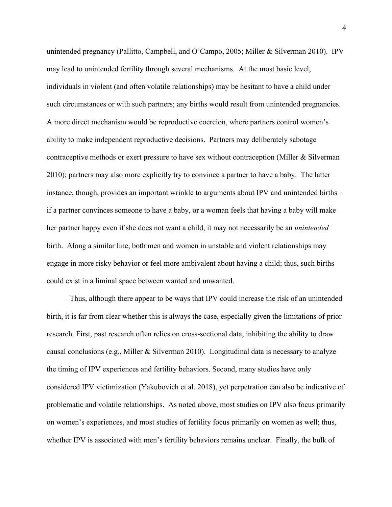unintended pregnancy (Pallitto, Campbell, and O'Campo, 2005; Miller & Silverman 2010). IPV may lead to unintended fertility through several mechanisms. At the most basic level, individuals in violent (and often volatile relationships) may be hesitant to have a child under such circumstances or with such partners; any births would result from unintended pregnancies. A more direct mechanism would be reproductive coercion, where partners control women's ability to make independent reproductive decisions. Partners may deliberately sabotage contraceptive methods or exert pressure to have sex without contraception (Miller & Silverman 2010); partners may also more explicitly try to convince a partner to have a baby. The latter instance, though, provides an important wrinkle to arguments about IPV and unintended births – if a partner convinces someone to have a baby, or a woman feels that having a baby will make her partner happy even if she does not want a child, it may not necessarily be an *unintended*  birth. Along a similar line, both men and women in unstable and violent relationships may engage in more risky behavior or feel more ambivalent about having a child; thus, such births could exist in a liminal space between wanted and unwanted.

Thus, although there appear to be ways that IPV could increase the risk of an unintended birth, it is far from clear whether this is always the case, especially given the limitations of prior research. First, past research often relies on cross-sectional data, inhibiting the ability to draw causal conclusions (e.g., Miller & Silverman 2010). Longitudinal data is necessary to analyze the timing of IPV experiences and fertility behaviors. Second, many studies have only considered IPV victimization (Yakubovich et al. 2018), yet perpetration can also be indicative of problematic and volatile relationships. As noted above, most studies on IPV also focus primarily on women's experiences, and most studies of fertility focus primarily on women as well; thus, whether IPV is associated with men's fertility behaviors remains unclear. Finally, the bulk of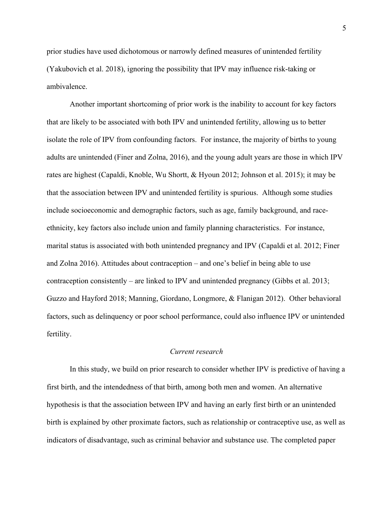prior studies have used dichotomous or narrowly defined measures of unintended fertility (Yakubovich et al. 2018), ignoring the possibility that IPV may influence risk-taking or ambivalence.

Another important shortcoming of prior work is the inability to account for key factors that are likely to be associated with both IPV and unintended fertility, allowing us to better isolate the role of IPV from confounding factors. For instance, the majority of births to young adults are unintended (Finer and Zolna, 2016), and the young adult years are those in which IPV rates are highest (Capaldi, Knoble, Wu Shortt, & Hyoun 2012; Johnson et al. 2015); it may be that the association between IPV and unintended fertility is spurious. Although some studies include socioeconomic and demographic factors, such as age, family background, and raceethnicity, key factors also include union and family planning characteristics. For instance, marital status is associated with both unintended pregnancy and IPV (Capaldi et al. 2012; Finer and Zolna 2016). Attitudes about contraception – and one's belief in being able to use contraception consistently – are linked to IPV and unintended pregnancy (Gibbs et al. 2013; Guzzo and Hayford 2018; Manning, Giordano, Longmore, & Flanigan 2012). Other behavioral factors, such as delinquency or poor school performance, could also influence IPV or unintended fertility.

# *Current research*

In this study, we build on prior research to consider whether IPV is predictive of having a first birth, and the intendedness of that birth, among both men and women. An alternative hypothesis is that the association between IPV and having an early first birth or an unintended birth is explained by other proximate factors, such as relationship or contraceptive use, as well as indicators of disadvantage, such as criminal behavior and substance use. The completed paper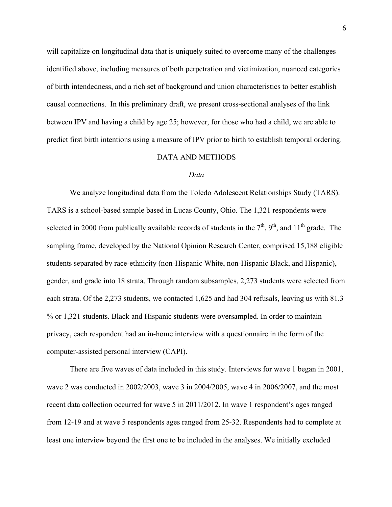will capitalize on longitudinal data that is uniquely suited to overcome many of the challenges identified above, including measures of both perpetration and victimization, nuanced categories of birth intendedness, and a rich set of background and union characteristics to better establish causal connections. In this preliminary draft, we present cross-sectional analyses of the link between IPV and having a child by age 25; however, for those who had a child, we are able to predict first birth intentions using a measure of IPV prior to birth to establish temporal ordering.

### DATA AND METHODS

#### *Data*

We analyze longitudinal data from the Toledo Adolescent Relationships Study (TARS). TARS is a school-based sample based in Lucas County, Ohio. The 1,321 respondents were selected in 2000 from publically available records of students in the  $7<sup>th</sup>$ ,  $9<sup>th</sup>$ , and  $11<sup>th</sup>$  grade. The sampling frame, developed by the National Opinion Research Center, comprised 15,188 eligible students separated by race-ethnicity (non-Hispanic White, non-Hispanic Black, and Hispanic), gender, and grade into 18 strata. Through random subsamples, 2,273 students were selected from each strata. Of the 2,273 students, we contacted 1,625 and had 304 refusals, leaving us with 81.3 % or 1,321 students. Black and Hispanic students were oversampled. In order to maintain privacy, each respondent had an in-home interview with a questionnaire in the form of the computer-assisted personal interview (CAPI).

There are five waves of data included in this study. Interviews for wave 1 began in 2001, wave 2 was conducted in 2002/2003, wave 3 in 2004/2005, wave 4 in 2006/2007, and the most recent data collection occurred for wave 5 in 2011/2012. In wave 1 respondent's ages ranged from 12-19 and at wave 5 respondents ages ranged from 25-32. Respondents had to complete at least one interview beyond the first one to be included in the analyses. We initially excluded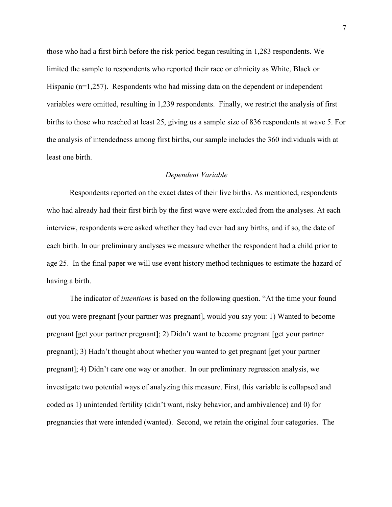those who had a first birth before the risk period began resulting in 1,283 respondents. We limited the sample to respondents who reported their race or ethnicity as White, Black or Hispanic  $(n=1,257)$ . Respondents who had missing data on the dependent or independent variables were omitted, resulting in 1,239 respondents. Finally, we restrict the analysis of first births to those who reached at least 25, giving us a sample size of 836 respondents at wave 5. For the analysis of intendedness among first births, our sample includes the 360 individuals with at least one birth.

# *Dependent Variable*

Respondents reported on the exact dates of their live births. As mentioned, respondents who had already had their first birth by the first wave were excluded from the analyses. At each interview, respondents were asked whether they had ever had any births, and if so, the date of each birth. In our preliminary analyses we measure whether the respondent had a child prior to age 25. In the final paper we will use event history method techniques to estimate the hazard of having a birth.

The indicator of *intentions* is based on the following question. "At the time your found out you were pregnant [your partner was pregnant], would you say you: 1) Wanted to become pregnant [get your partner pregnant]; 2) Didn't want to become pregnant [get your partner pregnant]; 3) Hadn't thought about whether you wanted to get pregnant [get your partner pregnant]; 4) Didn't care one way or another. In our preliminary regression analysis, we investigate two potential ways of analyzing this measure. First, this variable is collapsed and coded as 1) unintended fertility (didn't want, risky behavior, and ambivalence) and 0) for pregnancies that were intended (wanted). Second, we retain the original four categories. The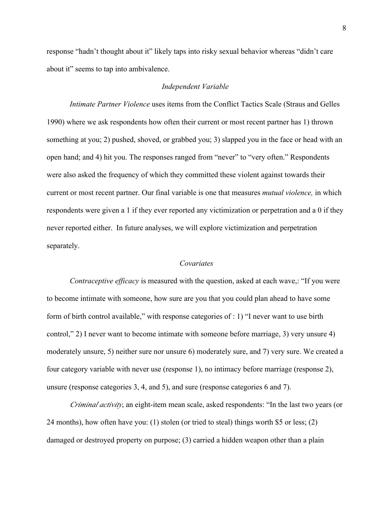response "hadn't thought about it" likely taps into risky sexual behavior whereas "didn't care about it" seems to tap into ambivalence.

### *Independent Variable*

*Intimate Partner Violence* uses items from the Conflict Tactics Scale (Straus and Gelles 1990) where we ask respondents how often their current or most recent partner has 1) thrown something at you; 2) pushed, shoved, or grabbed you; 3) slapped you in the face or head with an open hand; and 4) hit you. The responses ranged from "never" to "very often." Respondents were also asked the frequency of which they committed these violent against towards their current or most recent partner. Our final variable is one that measures *mutual violence,* in which respondents were given a 1 if they ever reported any victimization or perpetration and a 0 if they never reported either. In future analyses, we will explore victimization and perpetration separately.

### *Covariates*

*Contraceptive efficacy* is measured with the question, asked at each wave,: "If you were to become intimate with someone, how sure are you that you could plan ahead to have some form of birth control available," with response categories of : 1) "I never want to use birth control," 2) I never want to become intimate with someone before marriage, 3) very unsure 4) moderately unsure, 5) neither sure nor unsure 6) moderately sure, and 7) very sure. We created a four category variable with never use (response 1), no intimacy before marriage (response 2), unsure (response categories 3, 4, and 5), and sure (response categories 6 and 7).

*Criminal activity*, an eight-item mean scale, asked respondents: "In the last two years (or 24 months), how often have you: (1) stolen (or tried to steal) things worth \$5 or less; (2) damaged or destroyed property on purpose; (3) carried a hidden weapon other than a plain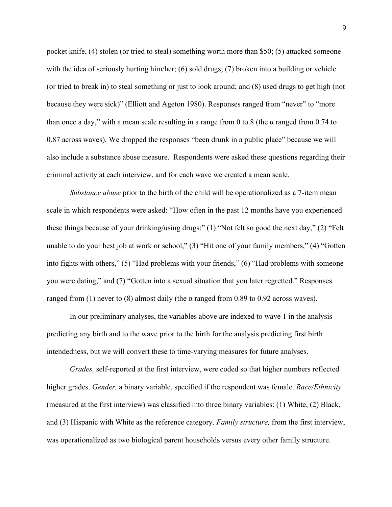pocket knife, (4) stolen (or tried to steal) something worth more than \$50; (5) attacked someone with the idea of seriously hurting him/her; (6) sold drugs; (7) broken into a building or vehicle (or tried to break in) to steal something or just to look around; and (8) used drugs to get high (not because they were sick)" (Elliott and Ageton 1980). Responses ranged from "never" to "more than once a day," with a mean scale resulting in a range from 0 to 8 (the  $\alpha$  ranged from 0.74 to 0.87 across waves). We dropped the responses "been drunk in a public place" because we will also include a substance abuse measure. Respondents were asked these questions regarding their criminal activity at each interview, and for each wave we created a mean scale.

*Substance abuse* prior to the birth of the child will be operationalized as a 7-item mean scale in which respondents were asked: "How often in the past 12 months have you experienced these things because of your drinking/using drugs:" (1) "Not felt so good the next day," (2) "Felt unable to do your best job at work or school," (3) "Hit one of your family members," (4) "Gotten into fights with others," (5) "Had problems with your friends," (6) "Had problems with someone you were dating," and (7) "Gotten into a sexual situation that you later regretted." Responses ranged from (1) never to (8) almost daily (the α ranged from 0.89 to 0.92 across waves).

In our preliminary analyses, the variables above are indexed to wave 1 in the analysis predicting any birth and to the wave prior to the birth for the analysis predicting first birth intendedness, but we will convert these to time-varying measures for future analyses.

*Grades,* self-reported at the first interview, were coded so that higher numbers reflected higher grades. *Gender,* a binary variable, specified if the respondent was female. *Race/Ethnicity* (measured at the first interview) was classified into three binary variables: (1) White, (2) Black, and (3) Hispanic with White as the reference category. *Family structure,* from the first interview, was operationalized as two biological parent households versus every other family structure.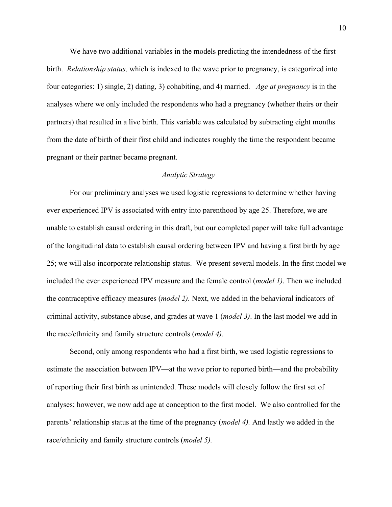We have two additional variables in the models predicting the intendedness of the first birth. *Relationship status,* which is indexed to the wave prior to pregnancy, is categorized into four categories: 1) single, 2) dating, 3) cohabiting, and 4) married. *Age at pregnancy* is in the analyses where we only included the respondents who had a pregnancy (whether theirs or their partners) that resulted in a live birth. This variable was calculated by subtracting eight months from the date of birth of their first child and indicates roughly the time the respondent became pregnant or their partner became pregnant.

# *Analytic Strategy*

For our preliminary analyses we used logistic regressions to determine whether having ever experienced IPV is associated with entry into parenthood by age 25. Therefore, we are unable to establish causal ordering in this draft, but our completed paper will take full advantage of the longitudinal data to establish causal ordering between IPV and having a first birth by age 25; we will also incorporate relationship status. We present several models. In the first model we included the ever experienced IPV measure and the female control (*model 1)*. Then we included the contraceptive efficacy measures (*model 2).* Next, we added in the behavioral indicators of criminal activity, substance abuse, and grades at wave 1 (*model 3)*. In the last model we add in the race/ethnicity and family structure controls (*model 4).*

Second, only among respondents who had a first birth, we used logistic regressions to estimate the association between IPV—at the wave prior to reported birth—and the probability of reporting their first birth as unintended. These models will closely follow the first set of analyses; however, we now add age at conception to the first model. We also controlled for the parents' relationship status at the time of the pregnancy (*model 4).* And lastly we added in the race/ethnicity and family structure controls (*model 5).*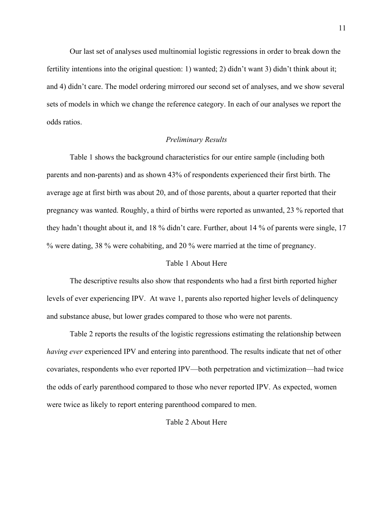Our last set of analyses used multinomial logistic regressions in order to break down the fertility intentions into the original question: 1) wanted; 2) didn't want 3) didn't think about it; and 4) didn't care. The model ordering mirrored our second set of analyses, and we show several sets of models in which we change the reference category. In each of our analyses we report the odds ratios.

#### *Preliminary Results*

Table 1 shows the background characteristics for our entire sample (including both parents and non-parents) and as shown 43% of respondents experienced their first birth. The average age at first birth was about 20, and of those parents, about a quarter reported that their pregnancy was wanted. Roughly, a third of births were reported as unwanted, 23 % reported that they hadn't thought about it, and 18 % didn't care. Further, about 14 % of parents were single, 17 % were dating, 38 % were cohabiting, and 20 % were married at the time of pregnancy.

# Table 1 About Here

The descriptive results also show that respondents who had a first birth reported higher levels of ever experiencing IPV. At wave 1, parents also reported higher levels of delinquency and substance abuse, but lower grades compared to those who were not parents.

Table 2 reports the results of the logistic regressions estimating the relationship between *having ever* experienced IPV and entering into parenthood. The results indicate that net of other covariates, respondents who ever reported IPV—both perpetration and victimization—had twice the odds of early parenthood compared to those who never reported IPV. As expected, women were twice as likely to report entering parenthood compared to men.

# Table 2 About Here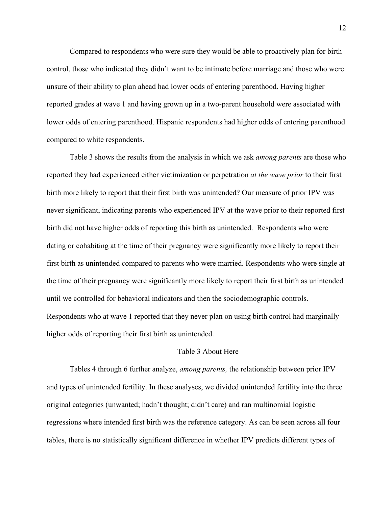Compared to respondents who were sure they would be able to proactively plan for birth control, those who indicated they didn't want to be intimate before marriage and those who were unsure of their ability to plan ahead had lower odds of entering parenthood. Having higher reported grades at wave 1 and having grown up in a two-parent household were associated with lower odds of entering parenthood. Hispanic respondents had higher odds of entering parenthood compared to white respondents.

Table 3 shows the results from the analysis in which we ask *among parents* are those who reported they had experienced either victimization or perpetration *at the wave prior* to their first birth more likely to report that their first birth was unintended? Our measure of prior IPV was never significant, indicating parents who experienced IPV at the wave prior to their reported first birth did not have higher odds of reporting this birth as unintended. Respondents who were dating or cohabiting at the time of their pregnancy were significantly more likely to report their first birth as unintended compared to parents who were married. Respondents who were single at the time of their pregnancy were significantly more likely to report their first birth as unintended until we controlled for behavioral indicators and then the sociodemographic controls. Respondents who at wave 1 reported that they never plan on using birth control had marginally higher odds of reporting their first birth as unintended.

# Table 3 About Here

Tables 4 through 6 further analyze, *among parents,* the relationship between prior IPV and types of unintended fertility. In these analyses, we divided unintended fertility into the three original categories (unwanted; hadn't thought; didn't care) and ran multinomial logistic regressions where intended first birth was the reference category. As can be seen across all four tables, there is no statistically significant difference in whether IPV predicts different types of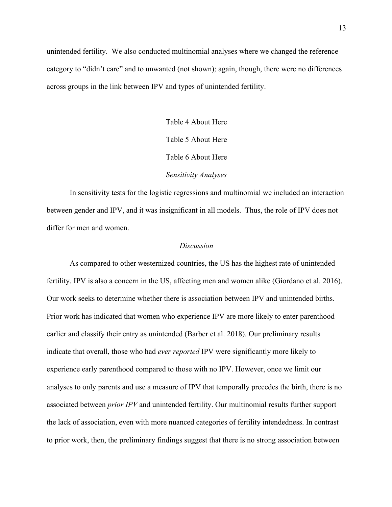unintended fertility. We also conducted multinomial analyses where we changed the reference category to "didn't care" and to unwanted (not shown); again, though, there were no differences across groups in the link between IPV and types of unintended fertility.

> Table 4 About Here Table 5 About Here Table 6 About Here *Sensitivity Analyses*

In sensitivity tests for the logistic regressions and multinomial we included an interaction between gender and IPV, and it was insignificant in all models. Thus, the role of IPV does not differ for men and women.

### *Discussion*

As compared to other westernized countries, the US has the highest rate of unintended fertility. IPV is also a concern in the US, affecting men and women alike (Giordano et al. 2016). Our work seeks to determine whether there is association between IPV and unintended births. Prior work has indicated that women who experience IPV are more likely to enter parenthood earlier and classify their entry as unintended (Barber et al. 2018). Our preliminary results indicate that overall, those who had *ever reported* IPV were significantly more likely to experience early parenthood compared to those with no IPV. However, once we limit our analyses to only parents and use a measure of IPV that temporally precedes the birth, there is no associated between *prior IPV* and unintended fertility. Our multinomial results further support the lack of association, even with more nuanced categories of fertility intendedness. In contrast to prior work, then, the preliminary findings suggest that there is no strong association between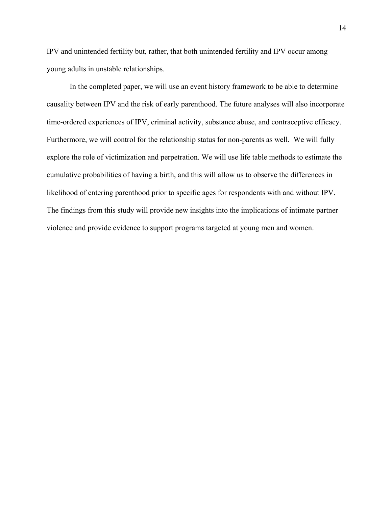IPV and unintended fertility but, rather, that both unintended fertility and IPV occur among young adults in unstable relationships.

In the completed paper, we will use an event history framework to be able to determine causality between IPV and the risk of early parenthood. The future analyses will also incorporate time-ordered experiences of IPV, criminal activity, substance abuse, and contraceptive efficacy. Furthermore, we will control for the relationship status for non-parents as well. We will fully explore the role of victimization and perpetration. We will use life table methods to estimate the cumulative probabilities of having a birth, and this will allow us to observe the differences in likelihood of entering parenthood prior to specific ages for respondents with and without IPV. The findings from this study will provide new insights into the implications of intimate partner violence and provide evidence to support programs targeted at young men and women.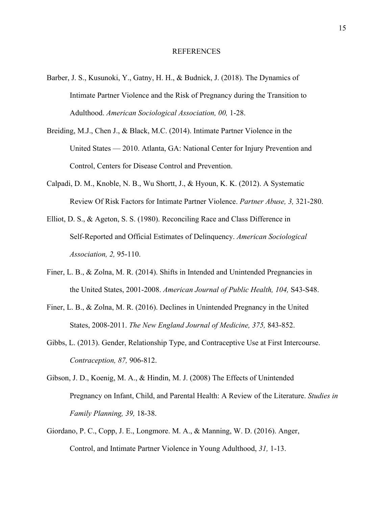- Barber, J. S., Kusunoki, Y., Gatny, H. H., & Budnick, J. (2018). The Dynamics of Intimate Partner Violence and the Risk of Pregnancy during the Transition to Adulthood. *American Sociological Association, 00,* 1-28.
- Breiding, M.J., Chen J., & Black, M.C. (2014). Intimate Partner Violence in the United States — 2010. Atlanta, GA: National Center for Injury Prevention and Control, Centers for Disease Control and Prevention.
- Calpadi, D. M., Knoble, N. B., Wu Shortt, J., & Hyoun, K. K. (2012). A Systematic Review Of Risk Factors for Intimate Partner Violence. *Partner Abuse, 3,* 321-280.
- Elliot, D. S., & Ageton, S. S. (1980). Reconciling Race and Class Difference in Self-Reported and Official Estimates of Delinquency. *American Sociological Association, 2,* 95-110.
- Finer, L. B., & Zolna, M. R. (2014). Shifts in Intended and Unintended Pregnancies in the United States, 2001-2008. *American Journal of Public Health, 104,* S43-S48.
- Finer, L. B., & Zolna, M. R. (2016). Declines in Unintended Pregnancy in the United States, 2008-2011. *The New England Journal of Medicine, 375,* 843-852.
- Gibbs, L. (2013). Gender, Relationship Type, and Contraceptive Use at First Intercourse. *Contraception, 87,* 906-812.
- Gibson, J. D., Koenig, M. A., & Hindin, M. J. (2008) The Effects of Unintended Pregnancy on Infant, Child, and Parental Health: A Review of the Literature. *Studies in Family Planning, 39,* 18-38.
- Giordano, P. C., Copp, J. E., Longmore. M. A., & Manning, W. D. (2016). Anger, Control, and Intimate Partner Violence in Young Adulthood, *31,* 1-13.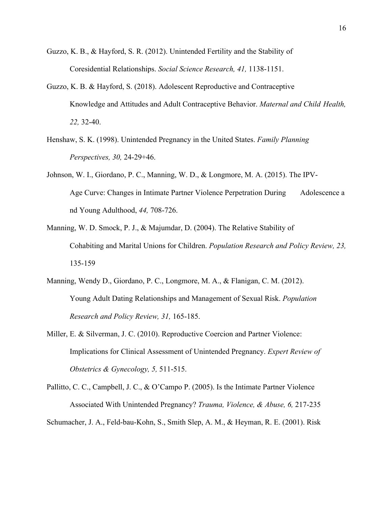- Guzzo, K. B., & Hayford, S. R. (2012). Unintended Fertility and the Stability of Coresidential Relationships. *Social Science Research, 41,* 1138-1151.
- Guzzo, K. B. & Hayford, S. (2018). Adolescent Reproductive and Contraceptive Knowledge and Attitudes and Adult Contraceptive Behavior. *Maternal and Child Health, 22,* 32-40.
- Henshaw, S. K. (1998). Unintended Pregnancy in the United States. *Family Planning Perspectives, 30,* 24-29+46.
- Johnson, W. I., Giordano, P. C., Manning, W. D., & Longmore, M. A. (2015). The IPV-Age Curve: Changes in Intimate Partner Violence Perpetration During Adolescence a nd Young Adulthood, *44,* 708-726.
- Manning, W. D. Smock, P. J., & Majumdar, D. (2004). The Relative Stability of Cohabiting and Marital Unions for Children. *Population Research and Policy Review, 23,*  135-159
- Manning, Wendy D., Giordano, P. C., Longmore, M. A., & Flanigan, C. M. (2012). Young Adult Dating Relationships and Management of Sexual Risk. *Population Research and Policy Review, 31,* 165-185.
- Miller, E. & Silverman, J. C. (2010). Reproductive Coercion and Partner Violence: Implications for Clinical Assessment of Unintended Pregnancy. *Expert Review of Obstetrics & Gynecology, 5,* 511-515.
- Pallitto, C. C., Campbell, J. C., & O'Campo P. (2005). Is the Intimate Partner Violence Associated With Unintended Pregnancy? *Trauma, Violence, & Abuse, 6,* 217-235 Schumacher, J. A., Feld-bau-Kohn, S., Smith Slep, A. M., & Heyman, R. E. (2001). Risk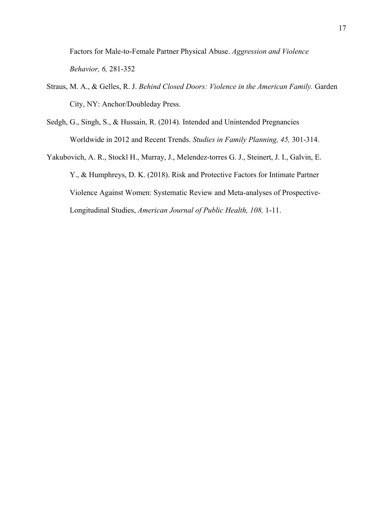Factors for Male-to-Female Partner Physical Abuse. *Aggression and Violence Behavior, 6,* 281-352

- Straus, M. A., & Gelles, R. J. *Behind Closed Doors: Violence in the American Family.* Garden City, NY: Anchor/Doubleday Press.
- Sedgh, G., Singh, S., & Hussain, R. (2014). Intended and Unintended Pregnancies Worldwide in 2012 and Recent Trends. *Studies in Family Planning, 45,* 301-314.
- Yakubovich, A. R., Stockl H., Murray, J., Melendez-torres G. J., Steinert, J. I., Galvin, E. Y., & Humphreys, D. K. (2018). Risk and Protective Factors for Intimate Partner Violence Against Women: Systematic Review and Meta-analyses of Prospective-Longitudinal Studies, *American Journal of Public Health, 108,* 1-11.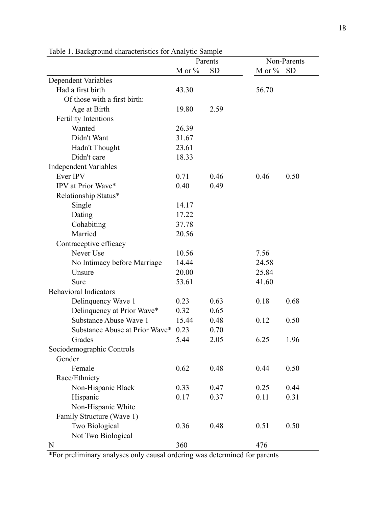|                                     |           | Parents   | Non-Parents |           |  |
|-------------------------------------|-----------|-----------|-------------|-----------|--|
|                                     | M or $\%$ | <b>SD</b> | M or $%$    | <b>SD</b> |  |
| <b>Dependent Variables</b>          |           |           |             |           |  |
| Had a first birth                   | 43.30     |           | 56.70       |           |  |
| Of those with a first birth:        |           |           |             |           |  |
| Age at Birth                        | 19.80     | 2.59      |             |           |  |
| <b>Fertility Intentions</b>         |           |           |             |           |  |
| Wanted                              | 26.39     |           |             |           |  |
| Didn't Want                         | 31.67     |           |             |           |  |
| Hadn't Thought                      | 23.61     |           |             |           |  |
| Didn't care                         | 18.33     |           |             |           |  |
| <b>Independent Variables</b>        |           |           |             |           |  |
| Ever IPV                            | 0.71      | 0.46      | 0.46        | 0.50      |  |
| IPV at Prior Wave*                  | 0.40      | 0.49      |             |           |  |
| Relationship Status*                |           |           |             |           |  |
| Single                              | 14.17     |           |             |           |  |
| Dating                              | 17.22     |           |             |           |  |
| Cohabiting                          | 37.78     |           |             |           |  |
| Married                             | 20.56     |           |             |           |  |
| Contraceptive efficacy              |           |           |             |           |  |
| Never Use                           | 10.56     |           | 7.56        |           |  |
| No Intimacy before Marriage         | 14.44     |           | 24.58       |           |  |
| Unsure                              | 20.00     |           | 25.84       |           |  |
| Sure                                | 53.61     |           | 41.60       |           |  |
| <b>Behavioral Indicators</b>        |           |           |             |           |  |
| Delinquency Wave 1                  | 0.23      | 0.63      | 0.18        | 0.68      |  |
| Delinquency at Prior Wave*          | 0.32      | 0.65      |             |           |  |
| Substance Abuse Wave 1              | 15.44     | 0.48      | 0.12        | 0.50      |  |
| Substance Abuse at Prior Wave* 0.23 |           | 0.70      |             |           |  |
| Grades                              | 5.44      | 2.05      | 6.25        | 1.96      |  |
| Sociodemographic Controls           |           |           |             |           |  |
| Gender                              |           |           |             |           |  |
| Female                              | 0.62      | 0.48      | 0.44        | 0.50      |  |
| Race/Ethnicty                       |           |           |             |           |  |
| Non-Hispanic Black                  | 0.33      | 0.47      | 0.25        | 0.44      |  |
| Hispanic                            | 0.17      | 0.37      | 0.11        | 0.31      |  |
| Non-Hispanic White                  |           |           |             |           |  |
| Family Structure (Wave 1)           |           |           |             |           |  |
| Two Biological                      | 0.36      | 0.48      | 0.51        | 0.50      |  |
| Not Two Biological                  |           |           |             |           |  |
| N                                   | 360       |           | 476         |           |  |

Table 1. Background characteristics for Analytic Sample

\*For preliminary analyses only causal ordering was determined for parents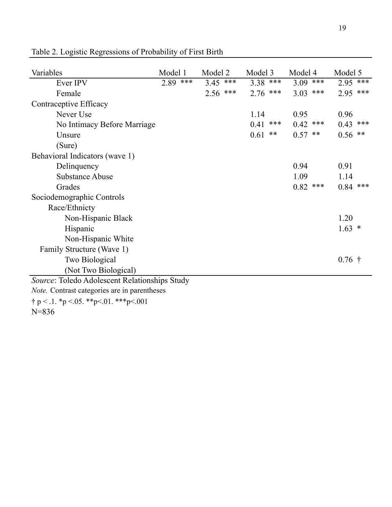| Variables                                     | Model 1    | Model 2    | Model 3    | Model 4    | Model 5    |
|-----------------------------------------------|------------|------------|------------|------------|------------|
| Ever IPV                                      | $2.89$ *** | $3.45$ *** | $3.38$ *** | $3.09$ *** | $2.95$ *** |
| Female                                        |            | $2.56$ *** | $2.76$ *** | $3.03$ *** | $2.95$ *** |
| Contraceptive Efficacy                        |            |            |            |            |            |
| Never Use                                     |            |            | 1.14       | 0.95       | 0.96       |
| No Intimacy Before Marriage                   |            |            | $0.41$ *** | $0.42$ *** | $0.43$ *** |
| Unsure                                        |            |            | 0.61<br>** | $0.57$ **  | $0.56$ **  |
| (Sure)                                        |            |            |            |            |            |
| Behavioral Indicators (wave 1)                |            |            |            |            |            |
| Delinquency                                   |            |            |            | 0.94       | 0.91       |
| <b>Substance Abuse</b>                        |            |            |            | 1.09       | 1.14       |
| Grades                                        |            |            |            | $0.82$ *** | $0.84$ *** |
| Sociodemographic Controls                     |            |            |            |            |            |
| Race/Ethnicty                                 |            |            |            |            |            |
| Non-Hispanic Black                            |            |            |            |            | 1.20       |
| Hispanic                                      |            |            |            |            | $1.63 *$   |
| Non-Hispanic White                            |            |            |            |            |            |
| Family Structure (Wave 1)                     |            |            |            |            |            |
| <b>Two Biological</b>                         |            |            |            |            | $0.76$ †   |
| (Not Two Biological)                          |            |            |            |            |            |
| Source: Toledo Adolescent Relationships Study |            |            |            |            |            |
| Note. Contrast categories are in parentheses  |            |            |            |            |            |
| $\dagger p < 1.$ *p < 05. **p<.01. ***p<.001  |            |            |            |            |            |
| $N = 836$                                     |            |            |            |            |            |

Table 2. Logistic Regressions of Probability of First Birth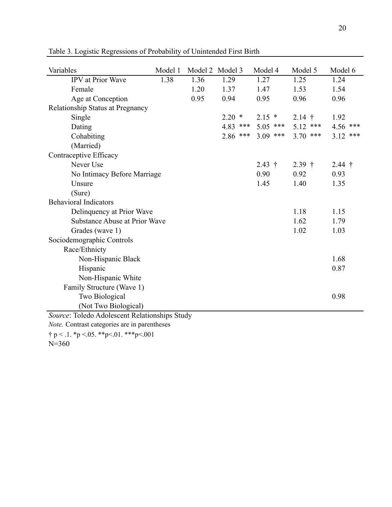| Variables                                           | Model 1 | Model 2 Model 3 |            | Model 4               | Model 5    | Model 6    |
|-----------------------------------------------------|---------|-----------------|------------|-----------------------|------------|------------|
| IPV at Prior Wave                                   | 1.38    | 1.36            | 1.29       | 1.27                  | 1.25       | 1.24       |
| Female                                              |         | 1.20            | 1.37       | 1.47                  | 1.53       | 1.54       |
| Age at Conception                                   |         | 0.95            | 0.94       | 0.95                  | 0.96       | 0.96       |
| Relationship Status at Pregnancy                    |         |                 |            |                       |            |            |
| Single                                              |         |                 | $2.20*$    | $2.15*$               | $2.14$ †   | 1.92       |
| Dating                                              |         |                 | $4.83$ *** | $5.05$ ***            | $5.12$ *** | $4.56$ *** |
| Cohabiting                                          |         |                 |            | $2.86$ *** $3.09$ *** | $3.70$ *** | $3.12$ *** |
| (Married)                                           |         |                 |            |                       |            |            |
| Contraceptive Efficacy                              |         |                 |            |                       |            |            |
| Never Use                                           |         |                 |            | $2.43 \t{\text{+}}$   | $2.39$ †   | $2.44$ †   |
| No Intimacy Before Marriage                         |         |                 |            | 0.90                  | 0.92       | 0.93       |
| Unsure                                              |         |                 |            | 1.45                  | 1.40       | 1.35       |
| (Sure)                                              |         |                 |            |                       |            |            |
| <b>Behavioral Indicators</b>                        |         |                 |            |                       |            |            |
| Delinquency at Prior Wave                           |         |                 |            |                       | 1.18       | 1.15       |
| Substance Abuse at Prior Wave                       |         |                 |            |                       | 1.62       | 1.79       |
| Grades (wave 1)                                     |         |                 |            |                       | 1.02       | 1.03       |
| Sociodemographic Controls                           |         |                 |            |                       |            |            |
| Race/Ethnicty                                       |         |                 |            |                       |            |            |
| Non-Hispanic Black                                  |         |                 |            |                       |            | 1.68       |
| Hispanic                                            |         |                 |            |                       |            | 0.87       |
| Non-Hispanic White                                  |         |                 |            |                       |            |            |
| Family Structure (Wave 1)                           |         |                 |            |                       |            |            |
| Two Biological                                      |         |                 |            |                       |            | 0.98       |
| (Not Two Biological)                                |         |                 |            |                       |            |            |
| Source: Toledo Adolescent Relationships Study       |         |                 |            |                       |            |            |
| Note. Contrast categories are in parentheses        |         |                 |            |                       |            |            |
| $\uparrow$ p < .1. *p < .05. **p < .01. ***p < .001 |         |                 |            |                       |            |            |
| $N = 360$                                           |         |                 |            |                       |            |            |

Table 3. Logistic Regressions of Probability of Unintended First Birth

20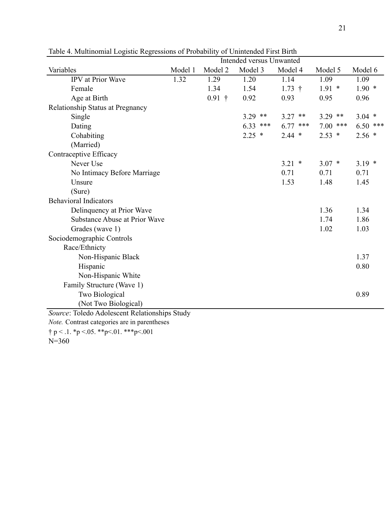|                                                     | <b>Intended versus Unwanted</b> |          |            |             |             |            |
|-----------------------------------------------------|---------------------------------|----------|------------|-------------|-------------|------------|
| Variables                                           | Model 1                         | Model 2  | Model 3    | Model 4     | Model 5     | Model 6    |
| IPV at Prior Wave                                   | 1.32                            | 1.29     | 1.20       | 1.14        | 1.09        | 1.09       |
| Female                                              |                                 | 1.34     | 1.54       | $1.73$ †    | $1.91*$     | $1.90*$    |
| Age at Birth                                        |                                 | $0.91$ † | 0.92       | 0.93        | 0.95        | 0.96       |
| Relationship Status at Pregnancy                    |                                 |          |            |             |             |            |
| Single                                              |                                 |          | $3.29$ **  | $3.27$ **   | $3.29$ **   | $3.04$ *   |
| Dating                                              |                                 |          | $6.33$ *** | 6.77<br>*** | 7.00<br>*** | $6.50$ *** |
| Cohabiting                                          |                                 |          | $2.25$ *   | $2.44$ *    | $2.53*$     | $2.56*$    |
| (Married)                                           |                                 |          |            |             |             |            |
| Contraceptive Efficacy                              |                                 |          |            |             |             |            |
| Never Use                                           |                                 |          |            | $3.21$ *    | $3.07*$     | $3.19*$    |
| No Intimacy Before Marriage                         |                                 |          |            | 0.71        | 0.71        | 0.71       |
| Unsure                                              |                                 |          |            | 1.53        | 1.48        | 1.45       |
| (Sure)                                              |                                 |          |            |             |             |            |
| <b>Behavioral Indicators</b>                        |                                 |          |            |             |             |            |
| Delinquency at Prior Wave                           |                                 |          |            |             | 1.36        | 1.34       |
| <b>Substance Abuse at Prior Wave</b>                |                                 |          |            |             | 1.74        | 1.86       |
| Grades (wave 1)                                     |                                 |          |            |             | 1.02        | 1.03       |
| Sociodemographic Controls                           |                                 |          |            |             |             |            |
| Race/Ethnicty                                       |                                 |          |            |             |             |            |
| Non-Hispanic Black                                  |                                 |          |            |             |             | 1.37       |
| Hispanic                                            |                                 |          |            |             |             | 0.80       |
| Non-Hispanic White                                  |                                 |          |            |             |             |            |
| Family Structure (Wave 1)                           |                                 |          |            |             |             |            |
| Two Biological                                      |                                 |          |            |             |             | 0.89       |
| (Not Two Biological)                                |                                 |          |            |             |             |            |
| Source: Toledo Adolescent Relationships Study       |                                 |          |            |             |             |            |
| Note. Contrast categories are in parentheses        |                                 |          |            |             |             |            |
| $\uparrow$ p < .1. *p < .05. **p < .01. ***p < .001 |                                 |          |            |             |             |            |

Table 4. Multinomial Logistic Regressions of Probability of Unintended First Birth

N=360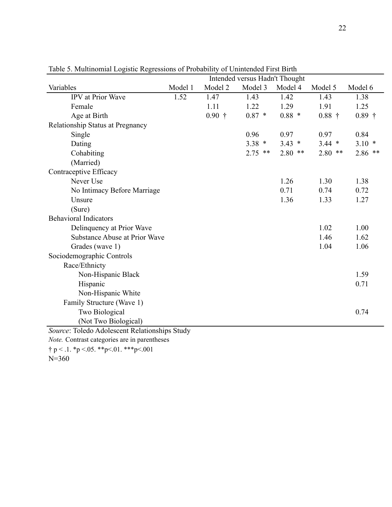|                                                     | Intended versus Hadn't Thought |          |           |           |           |           |
|-----------------------------------------------------|--------------------------------|----------|-----------|-----------|-----------|-----------|
| Variables                                           | Model 1                        | Model 2  | Model 3   | Model 4   | Model 5   | Model 6   |
| <b>IPV</b> at Prior Wave                            | 1.52                           | 1.47     | 1.43      | 1.42      | 1.43      | 1.38      |
| Female                                              |                                | 1.11     | 1.22      | 1.29      | 1.91      | 1.25      |
| Age at Birth                                        |                                | $0.90$ † | $0.87 *$  | $0.88*$   | $0.88$ †  | $0.89$ †  |
| Relationship Status at Pregnancy                    |                                |          |           |           |           |           |
| Single                                              |                                |          | 0.96      | 0.97      | 0.97      | 0.84      |
| Dating                                              |                                |          | $3.38 *$  | $3.43 *$  | $3.44$ *  | $3.10*$   |
| Cohabiting                                          |                                |          | $2.75$ ** | $2.80$ ** | $2.80$ ** | $2.86$ ** |
| (Married)                                           |                                |          |           |           |           |           |
| Contraceptive Efficacy                              |                                |          |           |           |           |           |
| Never Use                                           |                                |          |           | 1.26      | 1.30      | 1.38      |
| No Intimacy Before Marriage                         |                                |          |           | 0.71      | 0.74      | 0.72      |
| Unsure                                              |                                |          |           | 1.36      | 1.33      | 1.27      |
| (Sure)                                              |                                |          |           |           |           |           |
| <b>Behavioral Indicators</b>                        |                                |          |           |           |           |           |
| Delinquency at Prior Wave                           |                                |          |           |           | 1.02      | 1.00      |
| <b>Substance Abuse at Prior Wave</b>                |                                |          |           |           | 1.46      | 1.62      |
| Grades (wave 1)                                     |                                |          |           |           | 1.04      | 1.06      |
| Sociodemographic Controls                           |                                |          |           |           |           |           |
| Race/Ethnicty                                       |                                |          |           |           |           |           |
| Non-Hispanic Black                                  |                                |          |           |           |           | 1.59      |
| Hispanic                                            |                                |          |           |           |           | 0.71      |
| Non-Hispanic White                                  |                                |          |           |           |           |           |
| Family Structure (Wave 1)                           |                                |          |           |           |           |           |
| Two Biological                                      |                                |          |           |           |           | 0.74      |
| (Not Two Biological)                                |                                |          |           |           |           |           |
| Source: Toledo Adolescent Relationships Study       |                                |          |           |           |           |           |
| Note. Contrast categories are in parentheses        |                                |          |           |           |           |           |
| $\uparrow$ p < .1. *p < .05. **p < .01. ***p < .001 |                                |          |           |           |           |           |

Table 5. Multinomial Logistic Regressions of Probability of Unintended First Birth

N=360